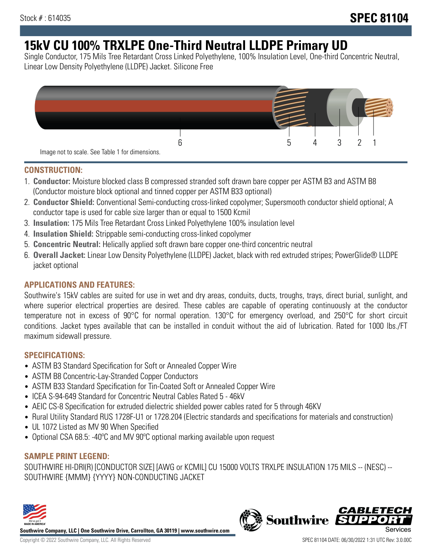# **15kV CU 100% TRXLPE One-Third Neutral LLDPE Primary UD**

Single Conductor, 175 Mils Tree Retardant Cross Linked Polyethylene, 100% Insulation Level, One-third Concentric Neutral, Linear Low Density Polyethylene (LLDPE) Jacket. Silicone Free



### **CONSTRUCTION:**

- 1. **Conductor:** Moisture blocked class B compressed stranded soft drawn bare copper per ASTM B3 and ASTM B8 (Conductor moisture block optional and tinned copper per ASTM B33 optional)
- 2. **Conductor Shield:** Conventional Semi-conducting cross-linked copolymer; Supersmooth conductor shield optional; A conductor tape is used for cable size larger than or equal to 1500 Kcmil
- 3. **Insulation:** 175 Mils Tree Retardant Cross Linked Polyethylene 100% insulation level
- 4. **Insulation Shield:** Strippable semi-conducting cross-linked copolymer
- 5. **Concentric Neutral:** Helically applied soft drawn bare copper one-third concentric neutral
- 6. **Overall Jacket:** Linear Low Density Polyethylene (LLDPE) Jacket, black with red extruded stripes; PowerGlide® LLDPE jacket optional

### **APPLICATIONS AND FEATURES:**

Southwire's 15kV cables are suited for use in wet and dry areas, conduits, ducts, troughs, trays, direct burial, sunlight, and where superior electrical properties are desired. These cables are capable of operating continuously at the conductor temperature not in excess of 90°C for normal operation. 130°C for emergency overload, and 250°C for short circuit conditions. Jacket types available that can be installed in conduit without the aid of lubrication. Rated for 1000 lbs./FT maximum sidewall pressure.

### **SPECIFICATIONS:**

- ASTM B3 Standard Specification for Soft or Annealed Copper Wire
- ASTM B8 Concentric-Lay-Stranded Copper Conductors
- ASTM B33 Standard Specification for Tin-Coated Soft or Annealed Copper Wire
- ICEA S-94-649 Standard for Concentric Neutral Cables Rated 5 46kV
- AEIC CS-8 Specification for extruded dielectric shielded power cables rated for 5 through 46KV
- Rural Utility Standard RUS 1728F-U1 or 1728.204 (Electric standards and specifications for materials and construction)
- UL 1072 Listed as MV 90 When Specified
- Optional CSA 68.5: -40ºC and MV 90ºC optional marking available upon request

## **SAMPLE PRINT LEGEND:**

SOUTHWIRE HI-DRI(R) [CONDUCTOR SIZE] [AWG or KCMIL] CU 15000 VOLTS TRXLPE INSULATION 175 MILS -- (NESC) -- SOUTHWIRE {MMM} {YYYY} NON-CONDUCTING JACKET



**Southwire Company, LLC | One Southwire Drive, Carrollton, GA 30119 | www.southwire.com**

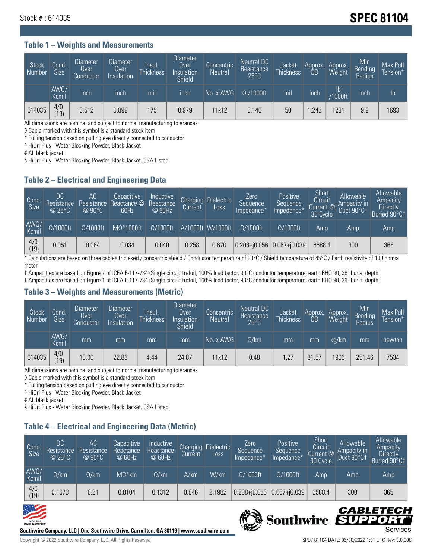## **Stock # : 614035 Stock # : 614035**

#### **Table 1 – Weights and Measurements**

| Stock<br>  Number | Cond<br><b>Size</b> | <b>Diameter</b><br>Over<br>Conductor | Diameter<br>Over<br>Insulation | Insul.<br><b>Thickness</b> | <b>Diameter</b><br>Over<br>Insulation<br><b>Shield</b> | Concentric<br><b>Neutral</b> | Neutral DC<br>Resistance<br>$25^{\circ}$ C | Jacket<br><b>Thickness</b> | Approx.<br>OD | Approx.<br>Weight    | Min<br><b>Bending</b><br>Radius | Max Pull<br>Tension* |
|-------------------|---------------------|--------------------------------------|--------------------------------|----------------------------|--------------------------------------------------------|------------------------------|--------------------------------------------|----------------------------|---------------|----------------------|---------------------------------|----------------------|
|                   | AWG/<br>Kcmil       | inch                                 | inch                           | mil                        | ınch                                                   | No. x AWG                    | $\Omega$ /1000ft                           | mil                        | inch          | Ib<br><b>Y1000ft</b> | inch                            | $\mathsf{lb}$        |
| 614035            | 4/0<br>(19)         | 0.512                                | 0.899                          | 175                        | 0.979                                                  | 11x12                        | 0.146                                      | 50                         | .243          | 1281                 | 9.9                             | 1693                 |

All dimensions are nominal and subject to normal manufacturing tolerances

◊ Cable marked with this symbol is a standard stock item

\* Pulling tension based on pulling eye directly connected to conductor

^ HiDri Plus - Water Blocking Powder. Black Jacket

# All black jacket

§ HiDri Plus - Water Blocking Powder. Black Jacket. CSA Listed

### **Table 2 – Electrical and Engineering Data**

| Cond.<br>Size | 'DC<br>Resistance<br>@25°C | AC<br>Resistance<br>$@90^{\circ}C$ | Capacitive<br>Reactance @<br>60Hz | Inductive<br>Reactance<br>@ 60Hz | Charging<br>Current | Dielectric<br>Loss | Zero<br>Sequence<br>Impedance* | Positive<br>Sequence<br>Impedance* | Short<br>Circuit<br>Current @<br>30 Cycle | Allowable<br>Ampacity in<br>Duct 90°C1 | Allowable<br>Ampacity<br><b>Directly</b><br>Buried 90°C‡ |
|---------------|----------------------------|------------------------------------|-----------------------------------|----------------------------------|---------------------|--------------------|--------------------------------|------------------------------------|-------------------------------------------|----------------------------------------|----------------------------------------------------------|
| AWG/<br>Kcmil | $\Omega/1000$ ft           | $\Omega/1000$ ft                   | $M\Omega^*1000$ ft                | $\Omega/1000$ ft                 |                     | A/1000ft W/1000ft  | $Q/1000$ ft                    | $\Omega/1000$ ft                   | Amp                                       | Amp                                    | Amp                                                      |
| 4/0<br>(19)   | 0.051                      | 0.064                              | 0.034                             | 0.040                            | 0.258               | 0.670              | $0.208 + 0.056$                | $0.067 + j0.039$                   | 6588.4                                    | 300                                    | 365                                                      |

\* Calculations are based on three cables triplexed / concentric shield / Conductor temperature of 90°C / Shield temperature of 45°C / Earth resistivity of 100 ohmsmeter

† Ampacities are based on Figure 7 of ICEA P-117-734 (Single circuit trefoil, 100% load factor, 90°C conductor temperature, earth RHO 90, 36" burial depth) ‡ Ampacities are based on Figure 1 of ICEA P-117-734 (Single circuit trefoil, 100% load factor, 90°C conductor temperature, earth RHO 90, 36" burial depth)

### **Table 3 – Weights and Measurements (Metric)**

| Stock<br>Number | Cond.<br>Size | Diameter<br>Over<br>Conductor | Diameter,<br><b>Over</b><br>Insulation | Insul.<br><b>Thickness</b> | <b>Diameter</b><br>Over<br>Insulation<br><b>Shield</b> | Concentric<br><b>Neutral</b> | Neutral DC<br>Resistance<br>$25^{\circ}$ C | Jacket<br><b>Thickness</b> | Approx.<br>0D | Approx.<br>Weight | Min<br>Bending<br>Radius | Max Pull<br>Tension* |
|-----------------|---------------|-------------------------------|----------------------------------------|----------------------------|--------------------------------------------------------|------------------------------|--------------------------------------------|----------------------------|---------------|-------------------|--------------------------|----------------------|
|                 | AWG/<br>Kcmil | mm                            | mm                                     | mm                         | mm                                                     | No. x AWG                    | $\Omega$ /km                               | mm                         | mm            | ka/km             | mm                       | newton               |
| 614035          | 4/0<br>(19)   | 13.00                         | 22.83                                  | 4.44                       | 24.87                                                  | 11x12                        | 0.48                                       | 1.27                       | 31.57         | 906               | 251.46                   | 7534                 |

All dimensions are nominal and subject to normal manufacturing tolerances

◊ Cable marked with this symbol is a standard stock item

\* Pulling tension based on pulling eye directly connected to conductor

^ HiDri Plus - Water Blocking Powder. Black Jacket

# All black jacket

§ HiDri Plus - Water Blocking Powder. Black Jacket. CSA Listed

### **Table 4 – Electrical and Engineering Data (Metric)**

| Cond<br>Size  | DC<br>Resistance<br>@25°C | <b>AC</b><br>Resistance<br>$@90^{\circ}C$ | Capacitive<br>Reactance<br>@ 60Hz | Inductive<br>Reactance<br>@ 60Hz | Charging<br>Current | <b>Dielectric</b><br>Loss | Zero.<br>Sequence<br>Impedance* | Positive<br>Sequence<br>Impedance* | Short<br>Circuit<br>Current @<br>30 Cycle | Allowable<br>Ampacity in<br>Duct 90°C1 | Allowable<br>Ampacity<br><b>Directly</b><br>Buried 90°C‡ |
|---------------|---------------------------|-------------------------------------------|-----------------------------------|----------------------------------|---------------------|---------------------------|---------------------------------|------------------------------------|-------------------------------------------|----------------------------------------|----------------------------------------------------------|
| AWG/<br>Kcmil | $\Omega$ /km              | $\Omega$ /km                              | $M\Omega^*$ km                    | $\Omega$ /km                     | A/km                | W/km                      | $\Omega/1000$ ft                | $\Omega/1000$ ft                   | Amp                                       | Amp                                    | Amp                                                      |
| 4/0<br>(19)   | 0.1673                    | 0.21                                      | 0.0104                            | 0.1312                           | 0.846               | 2.1982                    | $0.208 + 0.056$                 | $0.067 + 0.039$                    | 6588.4                                    | 300                                    | 365                                                      |





Southwire SUP

CABLETECI

Ð